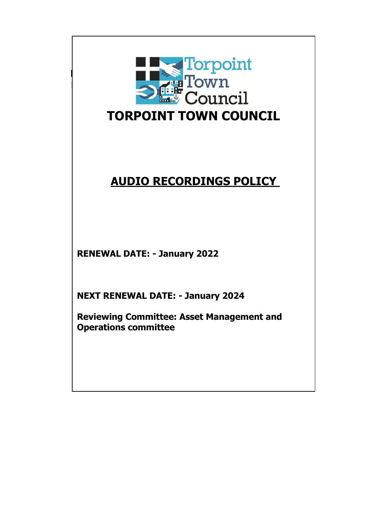

# **AUDIO RECORDINGS POLICY**

**RENEWAL DATE: - January 2022**

**NEXT RENEWAL DATE: - January 2024**

**Reviewing Committee: Asset Management and Operations committee**